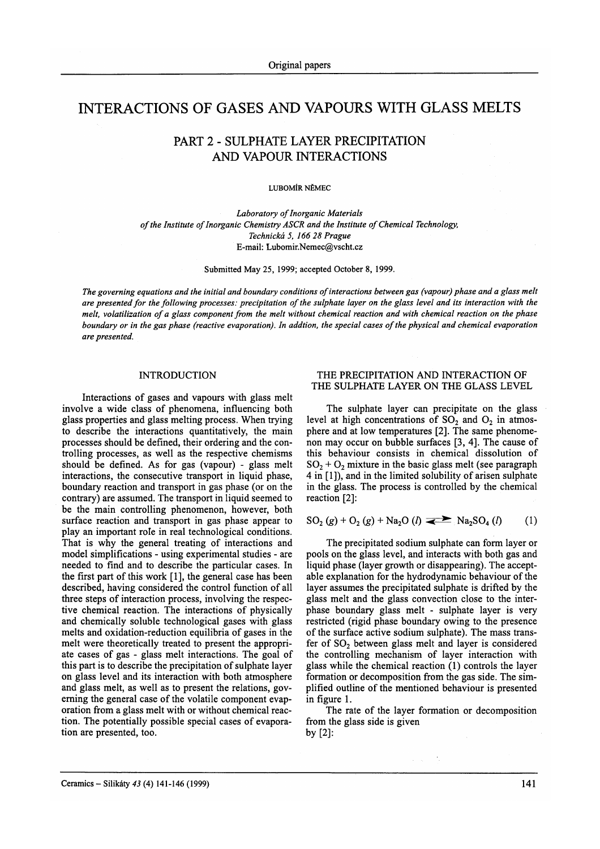# INTERACTIONS OF GASES AND VAPOURS WITH GLASS MELTS

## PART 2 . SULPHATE LAYER PRECIPITATION AND VAPOUR INTERACTIONS

LUBOMÍR NĚMEC

Laboratory of Inorganic Materials of the Institute of Inorganic Chemistry ASCR and the Institute of Chemical Technology, Technická 5, 166 28 Prague E-mail: Lubomir.Nemec@vscht.cz

Submitted May 25,1999; accepted October 8, 1999.

The governing equations and the initial and boundary conditions of interactions between gas (vapour) phase and a glass melt are presented for the following processes: precipitation of the sulphate layer on the glass level and its interaction with the melt, volatilization of a glass component from the melt without chemical reaction and with chemical reaction on the phase boundary or in the gas phase (reactive evaporation). In addtion, the special cases of the physical and chemical evaporation are presented.

## INTRODUCTION

Interactions of gases and vapours with glass melt involve a wide class of phenomena, influencing both glass properties and glass melting process. When trying to describe the interactions quantitatively, the main processes should be defined, their ordering and the controlling processes, as well as the respective chemisms should be defined. As for gas (vapour) - glass melt interactions, the consecutive transport in liquid phase, boundary reaction and transport in gas phase (or on the contrary) are assumed. The transport in liquid seemed to be the main controlling phenomenon, however, both surface reaction and transport in gas phase appear to play an important role in real technological conditions. That is why the general treating of interactions and model simplifications - using experimental studies - are needed to find and to describe the particular cases. In the first part of this work [1], the general case has been described, having considered the control function of all three steps of interaction process, involving the respective chemical reaction. The interactions of physically and chemically soluble technological gases with glass melts and oxidation-reduction equilibria of gases in the melt were theoretically treated to present the appropriate cases of gas - glass melt interactions. The goal of this part is to describe the precipitation of sulphate layer on glass level and its interaction with both atmosphere and glass melt, as well as to present the relations, governing the general case of the volatile component evaporation from a glass melt with or without chemical reaction. The potentially possible special cases of evaporation are presented, too.

## THE PRECIPITATION AND INTERACTION OF THE SULPHATE LAYER ON THE GLASS LEVEL

The sulphate layer can precipitate on the glass level at high concentrations of  $SO_2$  and  $O_2$  in atmosphere and at low temperatures [2]. The same phenomenon may occur on bubble surfaces [3, 4]. The cause of this behaviour consists in chemical dissolution of  $SO<sub>2</sub> + O<sub>2</sub>$  mixture in the basic glass melt (see paragraph) 4 in [l]), and in the limited solubility of arisen sulphate in the glass. The process is controlled by the chemical reaction [2]:

$$
SO_2(g) + O_2(g) + Na_2O(l) \implies Na_2SO_4(l) \qquad (1)
$$

The precipitated sodium sulphate can form layer or pools on the glass level, and interacts with both gas and liquid phase (layer growth or disappearing). The acceptable explanation for the hydrodynamic behaviour of the layer assumes the precipitated sulphate is drifted by the glass melt and the glass convection close to the interphase boundary glass melt - sulphate layer is very restricted (rigid phase boundary owing to the presence of the surface active sodium sulphate). The mass transfer of  $SO<sub>2</sub>$  between glass melt and layer is considered the controlling mechanism of layer interaction with glass while the chemical reaction (l) controls the layer formation or decompositíon from the gas side. The simplified outline of the mentioned behaviour is presented in figure l.

The rate of the layer formation or decomposition from the glass side is given by  $[2]$ :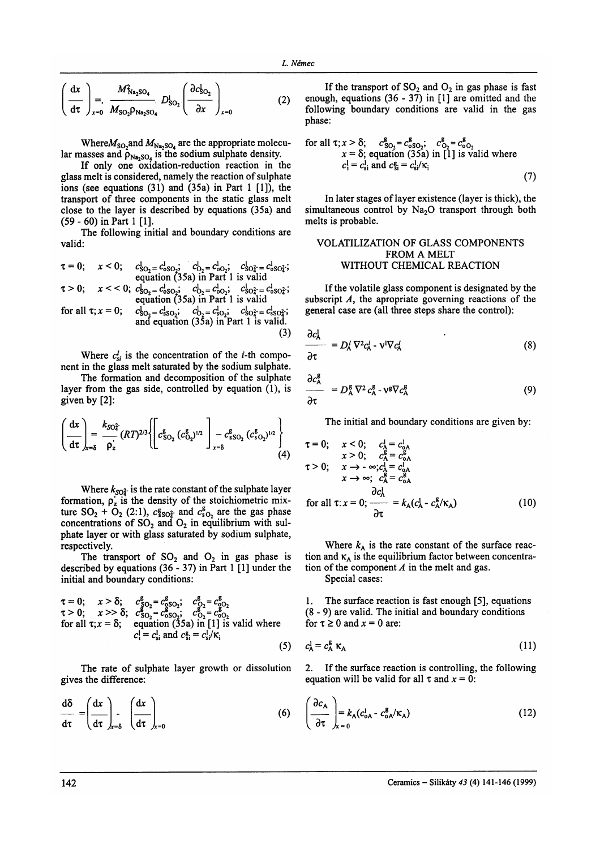$$
\left(\frac{\mathrm{d}x}{\mathrm{d}\tau}\right)_{x=0} = \frac{M_{\text{Na}_2\text{SO}_4}}{M_{\text{SO}_2}\rho_{\text{Na}_2\text{SO}_4}} D_{\text{SO}_2} \left(\frac{\partial c_{\text{SO}_2}}{\partial x}\right)_{x=0}
$$
(2)

Where  $M_{\text{SO}_2}$  and  $M_{\text{Na}_2\text{SO}_4}$  are the appropriate molecular masses and  $\rho_{\text{Na}_2\text{SO}_4}$  is the sodium sulphate density.

If only one oxidation-reduction reaction in the glass melt is considered, namely the reaction of sulphate ions (see equations  $(31)$  and  $(35a)$  in Part 1  $[1]$ ), the transport of three components in the static glass melt close to the layer is described by equations (35a) and  $(59 - 60)$  in Part 1 [1].

The following initial and boundary conditions are valid:

$$
\tau = 0; \quad x < 0; \quad c_{\infty}^{1} = c_{\infty}^{1}; \quad c_{\infty}^{1} = c_{\infty}^{1}; \quad c_{\infty}^{1} = c_{\infty}^{1}; \quad c_{\infty}^{1} = c_{\infty}^{1}; \quad c_{\infty}^{1} = c_{\infty}^{1}; \quad \tau > 0; \quad x < < 0; \quad c_{\infty}^{1} = c_{\infty}^{1}; \quad c_{\infty}^{1} = c_{\infty}^{1}; \quad c_{\infty}^{1} = c_{\infty}^{1}; \quad c_{\infty}^{1} = c_{\infty}^{1}; \quad c_{\infty}^{1} = c_{\infty}^{1}; \quad c_{\infty}^{1} = c_{\infty}^{1}; \quad c_{\infty}^{1} = c_{\infty}^{1}; \quad c_{\infty}^{1} = c_{\infty}^{1}; \quad c_{\infty}^{1} = c_{\infty}^{1}; \quad c_{\infty}^{1} = c_{\infty}^{1}; \quad c_{\infty}^{1} = c_{\infty}^{1}; \quad c_{\infty}^{1} = c_{\infty}^{1}; \quad c_{\infty}^{1} = c_{\infty}^{1}; \quad c_{\infty}^{1} = c_{\infty}^{1}; \quad c_{\infty}^{1} = c_{\infty}^{1}; \quad c_{\infty}^{1} = c_{\infty}^{1}; \quad c_{\infty}^{1} = c_{\infty}^{1}; \quad c_{\infty}^{1} = c_{\infty}^{1}; \quad c_{\infty}^{1} = c_{\infty}^{1}; \quad c_{\infty}^{1} = c_{\infty}^{1}; \quad c_{\infty}^{1} = c_{\infty}^{1}; \quad c_{\infty}^{1} = c_{\infty}^{1}; \quad c_{\infty}^{1} = c_{\infty}^{1}; \quad c_{\infty}^{1} = c_{\infty}^{1}; \quad c_{\infty}^{1} = c_{\infty}^{1}; \quad c_{\infty}^{1} = c_{\infty}^{1}; \quad c_{\infty}^{1} = c_{\infty}^{1}; \quad c_{\infty}^{1} = c_{\infty}^{1}; \quad c_{\infty}^{1} = c_{\infty}^{1}; \quad c_{\infty}^{
$$

$$
\begin{array}{ll}\n\text{Equation (33a) in rat 1 is valid} \\
\text{for all } \tau; x = 0; \quad c_{\text{SO}_2}^1 = c_{\text{SO}_2}^1; \quad c_{\text{SO}_2}^1 = c_{\text{SO}_2}^2; \\
\text{and equation (35a) in Part 1 is valid.} \\
\text{(3)}\n\end{array}
$$

Where  $c_{si}^{l}$  is the concentration of the *i*-th component in the glass melt saturated by the sodium sulphate.

The formation and decomposition of the sulphate layer from the gas side, controlled by equation (1), is given by [2]:

$$
\left(\frac{dx}{d\tau}\right)_{x=\delta} = \frac{k_{SO_4^2}}{\rho_z^2} (RT)^{2/3} \left\{ \left[ c_{SO_2}^g (c_{O_2}^g)^{1/2} \right]_{x=\delta} - c_{sSO_2}^g (c_{sO_2}^g)^{1/2} \right\} \tag{4}
$$

Where  $k_{SO_4^2}$  is the rate constant of the sulphate layer formation,  $\rho_z$  is the density of the stoichiometric mixture  $SO_2 + O_2$  (2:1),  $c_{sS_2}^g$  and  $c_{sO_2}^g$  are the gas phase concentrations of  $SO_2$  and  $O_2$  in equilibrium with sulphate layer or with glass saturated by sodium sulphate, respectively.

The transport of  $SO_2$  and  $O_2$  in gas phase is described by equations  $(36 - 37)$  in Part 1 [1] under the initial and boundary conditions:

$$
τ = 0; x > δ; c§02ε = c§0025; c026 = c§026\nτ > 0; x >> δ; c§02ε = c§0025; c026 = c§026\nfor all τ; x = δ; equation (35a) in [1] is valid where\nci1 = csi1 and c§iε = csi1/ $\kappa$ <sub>i</sub>\n(5)
$$

The rate of sulphate layer growth or dissolution gives the difference:

$$
\frac{d\delta}{d\tau} = \left(\frac{dx}{d\tau}\right)_{x=\delta} \left(\frac{dx}{d\tau}\right)_{x=0} \tag{6}
$$

If the transport of  $SO_2$  and  $O_2$  in gas phase is fast enough, equations  $(36 - 37)$  in [1] are omitted and the following boundary conditions are valid in the gas phase:

for all 
$$
\tau
$$
;  $x > \delta$ ;  $c_{SO_2}^g = c_{SO_2}^g$ ;  $c_{O_2}^g = c_{SO_2}^g$   
\n $x = \delta$ ; equation (35a) in [1] is valid where  
\n $c_1^1 = c_{si}^1$  and  $c_{si}^g = c_{si}^1/\kappa_i$  (7)

In later stages of layer existence (layer is thick), the simultaneous control by Na<sub>2</sub>O transport through both melts is probable.

## VOLATILIZATION OF GLASS COMPONENTS FROM A MELT WITHOUT CHEMICAL REACTION

If the volatile glass component is designated by the subscript  $A$ , the apropriate governing reactions of the general case are (all three steps share the control):

$$
\frac{\partial c_A^1}{\partial z} = D_A^1 \nabla^2 c_A^1 - \nu^1 \nabla c_A^1 \tag{8}
$$

$$
\frac{\partial \tau}{\partial \theta}
$$

$$
\frac{\partial c_A^2}{\partial \tau} = D_A^g \nabla^2 c_A^g - \nu^g \nabla c_A^g \tag{9}
$$

The initial and boundary conditions are given by:

$$
\begin{array}{ll}\n\mathfrak{r} = 0; & x < 0; & c_A^1 = c_{0A}^1 \\
& x > 0; & c_A^2 = c_{0A}^5 \\
\mathfrak{r} > 0; & x \to -\infty; c_A^1 = c_{0A}^1 \\
& x \to \infty; & c_A^2 = c_{0A}^2 \\
& x \to \infty; & c_A^2 = c_{0A}^2 \\
\text{for all } \tau: x = 0; & \frac{\partial c_A^1}{\partial \tau} = k_A (c_A^1 - c_A^2 / \kappa_A) \tag{10}\n\end{array}
$$

Where  $k_A$  is the rate constant of the surface reaction and  $\kappa_A$  is the equilibrium factor between concentration of the component  $A$  in the melt and gas. Special cases:

 $\mathbf{1}$ . The surface reaction is fast enough [5], equations (8 - 9) are valid. The initial and boundary conditions for  $\tau \ge 0$  and  $x = 0$  are:

$$
c_{\mathsf{A}}^1 = c_{\mathsf{A}}^{\mathsf{g}} \,\kappa_{\mathsf{A}} \tag{11}
$$

2. If the surface reaction is controlling, the following equation will be valid for all  $\tau$  and  $x = 0$ :

$$
\left(\frac{\partial c_A}{\partial \tau}\right)_{x=0} = k_A (c_{oA}^1 - c_{oA}^g / \kappa_A)
$$
\n(12)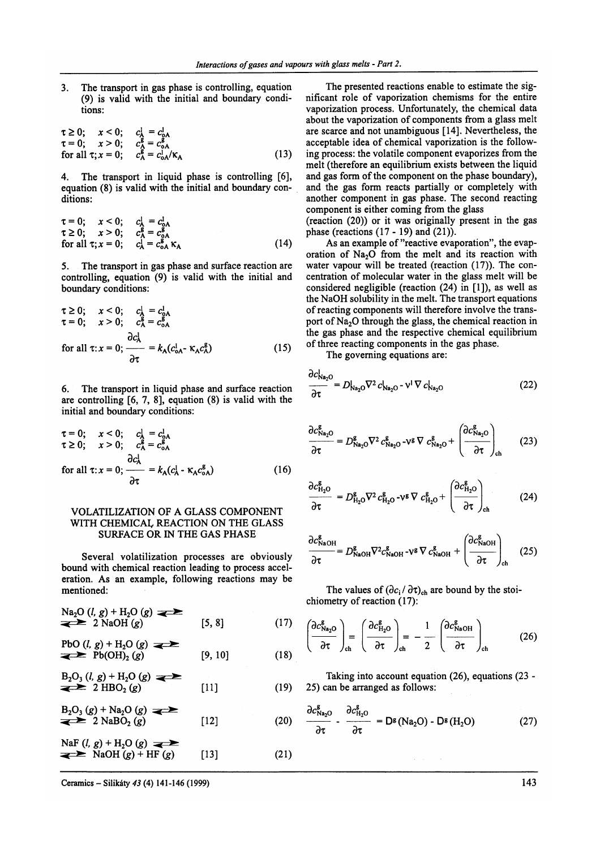3. The transport in gas phase is controlling, equation (9) is valid with the initial and boundary conditions:

$$
\tau \geq 0; \quad x < 0; \quad c_A^1 = c_{0A}^1 \n\tau = 0; \quad x > 0; \quad c_A^g = c_{0A}^g \n\text{for all } \tau; x = 0; \quad c_A^g = c_{0A}^1/\kappa_A \tag{13}
$$

4. The transport in liquid phase is controlling [6], equation (8) is valid with the initial and boundary conditions:

$$
\tau = 0; \quad x < 0; \quad c_A^1 = c_{0A}^1 \tau \ge 0; \quad x > 0; \quad c_A^g = c_{0A}^g \n\text{for all } \tau; x = 0; \quad c_A^1 = c_{0A}^g \kappa_A
$$
\n
$$
(14)
$$

5. The transport in gas phase and surface reaction are controlling, equation (9) is valid with the initial and boundary conditions:

$$
\tau \ge 0; \quad x < 0; \quad c_A^1 = c_{0A}^1
$$
\n
$$
\tau = 0; \quad x > 0; \quad c_A^2 = c_{0A}^2
$$
\n
$$
\frac{\partial c_A^1}{\partial \tau} = k_A (c_{0A}^1 - \kappa_A c_A^g) \tag{15}
$$

6. The transport in liquid phase and surface reaction are controlling  $[6, 7, 8]$ , equation  $(8)$  is valid with the initial and boundary conditions:

$$
\tau = 0; \quad x < 0; \quad c_A^1 = c_{0A}^1 \tau \ge 0; \quad x > 0; \quad c_A^2 = c_{0A}^2 \n\text{for all } \tau: x = 0; \quad \frac{\partial c_A^1}{\partial \tau} = k_A (c_A^1 - \kappa_A c_{0A}^g) \tag{16}
$$

## VOLATILIZATION OF A GLASS COMPONENT WITH CHEMICAL REACTION ON THE GLASS SURFACE OR IN THE GAS PHASE

Several volatilization processes are obviously bound with chemical reaction leading to process acceleration. As an example, following reactions may be mentioned:

$$
\sum_{q \geq 0}^{Na_2O} (l, g) + H_2O(g) \implies [5, 8]
$$
 (17)

PbO (l, g) + H<sub>2</sub>O (g)   
\n
$$
\sum_{(18)
$$
 Pb(OH)<sub>2</sub> (g) [9, 10] (18)

$$
B_2O_3(l, g) + H_2O(g) \implies [11]
$$
 (19)

$$
B_2O_3(g) + Na_2O(g) \longrightarrow
$$
  
\n
$$
2 NaBO_2(g)
$$
 [12] (20)

$$
NaF (l, g) + H2O (g) \longrightarrow
$$
  
\n
$$
NaOH (g) + HF (g)
$$
 [13] (21)

The presented reactions enable to estimate the significant role of vaporization chemisms for the entire vaporization process. Unfortunately, the chemical data about the vaporization of components from a glass melt are scarce and not unambiguous [14]. Nevertheless, the acceptable idea of chemical vaporization is the following process: the volatile component evaporizes from the melt (therefore an equilibrium exists between the liquid and gas form of the component on the phase boundary), and the gas form reacts partially or completely with another component in gas phase. The second reacting component is either coming from the glass

(reaction (20)) or it was originally present in the gas phase (reactions (17 - 19) and (21)).

As an example of "reactive evaporation", the evaporation of  $Na<sub>2</sub>O$  from the melt and its reaction with water vapour will be treated (reaction (17)). The concentration of molecular water in the glass melt will be considered negligible (reaction  $(24)$  in  $[1]$ ), as well as the NaOH solubility in the melt. The transport equations of reacting components will therefore involve the transport of  $Na<sub>2</sub>O$  through the glass, the chemical reaction in the gas phase and the respective chemical equilibrium of three reacting components in the gas phase.

The governing equations are:

$$
\frac{\partial c_{\text{Na}_2\text{O}}^1}{\partial \tau} = D_{\text{Na}_2\text{O}}^1 \nabla^2 c_{\text{Na}_2\text{O}}^1 \cdot \nabla c_{\text{Na}_2\text{O}}^1 \tag{22}
$$

$$
\frac{\partial c_{\text{Na}_2\text{O}}^g}{\partial \tau} = D_{\text{Na}_2\text{O}}^g \nabla^2 c_{\text{Na}_2\text{O}}^g - \nu^g \nabla c_{\text{Na}_2\text{O}}^g + \left(\frac{\partial c_{\text{Na}_2\text{O}}^g}{\partial \tau}\right)_{\text{ch}} \tag{23}
$$

$$
\frac{\partial c_{\text{H}_2\text{O}}^{\text{g}}}{\partial \tau} = D_{\text{H}_2\text{O}}^{\text{g}} \nabla^2 c_{\text{H}_2\text{O}}^{\text{g}} - \nu^{\text{g}} \nabla c_{\text{H}_2\text{O}}^{\text{g}} + \left( \frac{\partial c_{\text{H}_2\text{O}}^{\text{g}}}{\partial \tau} \right)_{\text{ch}}
$$
(24)

$$
\frac{\partial c_{\text{NaOH}}^{\text{g}}}{\partial \tau} = D_{\text{NaOH}}^{\text{g}} \nabla^2 c_{\text{NaOH}}^{\text{g}} - \nu^{\text{g}} \nabla c_{\text{NaOH}}^{\text{g}} + \left( \frac{\partial c_{\text{NaOH}}^{\text{g}}}{\partial \tau} \right)_{\text{ch}} \quad (25)
$$

The values of  $(\partial c_i / \partial \tau)_{ch}$  are bound by the stoichiometry of reaction (17):

$$
\left(\frac{\partial c_{\text{Na}_2\text{O}}^g}{\partial \tau}\right)_{\text{ch}} = \left(\frac{\partial c_{\text{H}_2\text{O}}^g}{\partial \tau}\right)_{\text{ch}} = -\frac{1}{2} \left(\frac{\partial c_{\text{NaOH}}^g}{\partial \tau}\right)_{\text{ch}}
$$
(26)

Taking into account equation (26), equations (23 - 25) can be arranged as follows:

$$
B_2O_3(g) + Na_2O(g) \longrightarrow B_2O_3(g) \longrightarrow B_1^{20}(g)
$$
  
\n
$$
B_2O_3(g) + Na_2O(g) \longrightarrow B_1^{20}(g)
$$
  
\n
$$
B_2O_3(g) + Na_2O(g)
$$
  
\n
$$
B_2O_3(g) - 2NaBO_2(g)
$$
  
\n
$$
[12] (20) \longrightarrow B_1^{20}(g) - 2Na_2O - 2Na_2O - 2Na_2O \longrightarrow B_1^{20}(g)
$$
  
\n
$$
B_2O_3(g) - 2Na_2O(g)
$$
  
\n
$$
B_2O_3(g) - 2Na_2O(g)
$$
  
\n
$$
B_2O_3(g) - 2Na_2O(g)
$$
  
\n
$$
B_2O_3(g) - 2Na_2O(g)
$$
  
\n
$$
B_2O_3(g) - 2Ma_2O(g)
$$
  
\n
$$
B_2O_3(g) - 2Ma_2O(g)
$$
  
\n
$$
B_2O_3(g) - 2Ma_2O(g)
$$
  
\n
$$
B_2O_3(g) - 2Ma_2O(g)
$$
  
\n
$$
B_2O_3(g) - 2Ma_2O(g)
$$
  
\n
$$
B_2O_3(g) - 2Ma_2O(g)
$$
  
\n
$$
B_2O_3(g) - 2Ma_2O(g)
$$
  
\n
$$
B_2O_3(g) - 2Ma_2O(g)
$$
  
\n
$$
B_2O_3(g) - 2Ma_2O(g)
$$
  
\n
$$
B_2O_3(g) - 2Ma_2O(g)
$$
  
\n
$$
B_2O_3(g) - 2Ma_2O(g)
$$
  
\n
$$
B_2O_3(g) - 2Ma_2O(g)
$$
  
\n
$$
B_2O_3(g) - 2Ma_2O(g)
$$
  
\n
$$
B_2O_3(g) - 2Ma_2O(g)
$$
  
\n
$$
B_2O_3(g) - 2Ma_2O(g)
$$
  
\n
$$
B_2O_3(g) - 2Ma_2O(g)
$$
  
\n<math display="block</math>

Ceramics – Silikáty 43 (4) 141-146 (1999) 143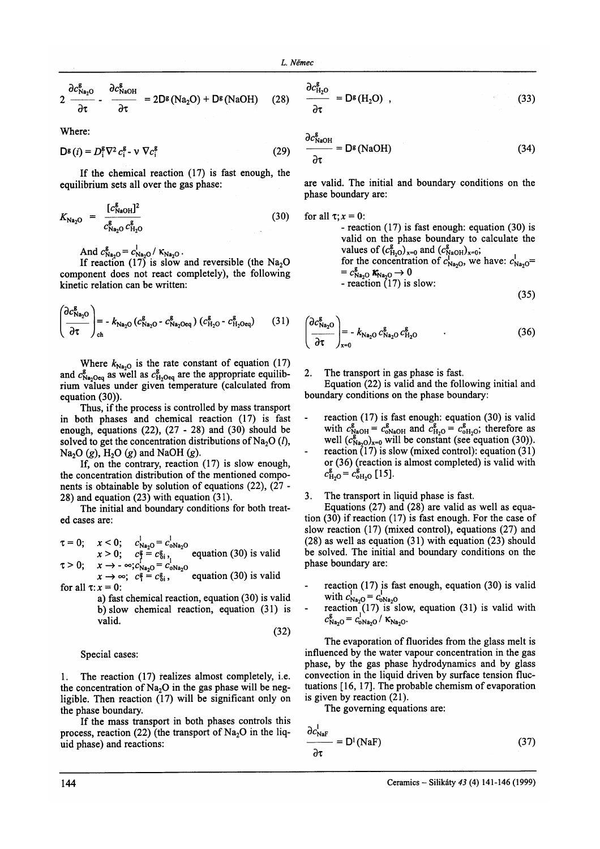$$
2 \frac{\partial c_{\text{Na}_2\text{O}}^g}{\partial \tau} - \frac{\partial c_{\text{NaOH}}^g}{\partial \tau} = 2D^g(\text{Na}_2\text{O}) + D^g(\text{NaOH}) \quad (28)
$$

Where:

$$
D^{\mathsf{g}}(i) = D^{\mathsf{g}}_i \nabla^2 c^{\mathsf{g}}_i - \nu \nabla c^{\mathsf{g}}_i \tag{29}
$$

If the chemical reaction (17) is fast enough, the equilibrium sets all over the gas phase:

$$
K_{\text{Na}_2\text{O}} = \frac{[c_{\text{NaOH}}^g]^2}{c_{\text{Na}_2\text{O}}^g c_{\text{H}_2\text{O}}^g} \tag{30}
$$

And  $c_{\text{Na}_2\text{O}}^{\text{g}} = c_{\text{Na}_2\text{O}}^{\text{I}} / K_{\text{Na}_2\text{O}}$ .

If reaction (17) is slow and reversible (the  $Na<sub>2</sub>O$ component does not react completely), the following kinetic relation can be written:

$$
\left(\frac{\partial c_{\text{Na}_2\text{O}}^g}{\partial \tau}\right)_{\text{ch}} = -k_{\text{Na}_2\text{O}} \left(c_{\text{Na}_2\text{O}}^g \cdot c_{\text{Na}_2\text{Oeq}}^g\right) \left(c_{\text{H}_2\text{O}}^g \cdot c_{\text{H}_2\text{Oeq}}^g\right) \tag{31}
$$

Where  $k_{\text{Na}_2O}$  is the rate constant of equation (17) and  $c_{\text{Na-Oeq}}^g$  as well as  $c_{\text{H-Oeq}}^g$  are the appropriate equilibrium válues under given temperature (calculated from equation (30)).

Thus, if the process is controlled by mass transport in both phases and chemical reaction (17) is fast enough, equations (22), (27 - 28) and (30) should be solved to get the concentration distributions of Na<sub>2</sub>O ( $l$ ), Na<sub>2</sub>O (g), H<sub>2</sub>O (g) and NaOH (g).

If, on the contrary, reaction  $(17)$  is slow enough, the concentration distribution of the mentioned components is obtainable by solution of equations (22), (27 - 28) and equation (23) with equation (31).

The initial and boundary conditions for both treated cases are:

$$
\tau = 0; \quad x < 0; \quad c_{\text{Na}_2\text{O}}^1 = c_{\text{oNa}_2\text{O}}^1
$$
\n
$$
x > 0; \quad c_f^g = c_{\text{Si}1}^2, \quad \text{equation (30) is valid}
$$
\n
$$
\tau > 0; \quad x \to -\infty; c_{\text{Na}_2\text{O}}^1 = c_{\text{oNa}_2\text{O}}^1
$$
\n
$$
x \to \infty; \quad c_f^g = c_{\text{Si}1}^g, \quad \text{equation (30) is valid}
$$
\n
$$
\text{for all } \tau: x = 0:
$$

a) fast chemical reaction, equation (30) is valid b)slow chemical reaction, equation (31) is valid.

$$
(32)
$$

Special cases:

1. The reaction (17) realizes almost completely, i.e. the concentration of  $Na<sub>2</sub>O$  in the gas phase will be negligible. Then reaction (17) will be significant only on the phase boundary.

If the mass transport in both phases controls this process, reaction (22) (the transport of  $Na<sub>2</sub>O$  in the liquid phase) and reactions:

$$
\frac{\partial c_{H_2O}^g}{\partial \tau} = D^g(H_2O) , \qquad (33)
$$

 $\partial c^g$ 

$$
\frac{c_{\text{NaOH}}}{\partial \tau} = D^g \text{(NaOH)}\tag{34}
$$

are valid. The initial and boundary conditions on the phase boundary are:

for all  $\tau$ ;  $x=0$ : - reaction (17) is fast enough: equation (30) is valid on the phase boundary to calculate the values of  $(c_{H_2O}^g)_{x=0}$  and  $(c_{NaOH}^g)_{x=0}$ ; for the concentration of  $c_{\text{Na}_2O}^{1001/20}$ , we have:  $c_{\text{Na}_2O}^1$ .  $=c_{\text{Na}_2\text{O}}^{\text{g}}$  K<sub>Na<sub>2</sub>O  $\rightarrow$  0</sub>  $\frac{C_{\text{Na}_2\text{O}}}{C_{\text{Na}_2\text{O}}}$   $\frac{C_{\text{Na}_2\text{O}}}{C_{\text{Na}_2\text{O}}}$  is slow:  $(25)$ 

$$
^{(35)}
$$

$$
\left(\frac{\partial c_{\text{Na}_{2}\text{O}}^{g}}{\partial \tau}\right)_{x=0} = -k_{\text{Na}_{2}\text{O}} c_{\text{Na}_{2}\text{O}}^{g} c_{\text{H}_{2}\text{O}}^{g}
$$
\n(36)

2. The transport in gas phase is fast.

Equation (22) is valid and the following initial and boundary conditions on the phase boundary:

- reaction  $(17)$  is fast enough: equation  $(30)$  is valid reaction (17) is tast enough: equation (50) is valid<br>with  $c_{\text{NaOH}}^g = c_{\text{NaOH}}^g$  and  $c_{\text{H-O}}^g = c_{\text{CH-O}}^g$ ; therefore as well  $(c_{Na_2O)x=0}^g$  will be constant (see equation (30)).
- reaction  $(17)$  is slow (mixed control): equation  $(31)$ or (36) (reaction is almost completed) is valid with  $c_{\rm H_2O}^{\rm g} = c_{\rm oH_2O}^{\rm g}$  [15].

3. The transport in liquid phase is fast.

Equations  $(27)$  and  $(28)$  are valid as well as equation (30) if reaction (17) is fast enough. For the case of slow reaction (17) (mixed control), equations (27) and (28) as well as equation (31) with equation (23) should be solved. The initial and boundary conditions on the phase boundary are:

- reaction  $(17)$  is fast enough, equation  $(30)$  is valid with  $c_{N_{a_2}0}^+ = c_{N_{a_2}0}^+$ <br>- reaction (17) is slow, equation (31) is valid with
- $c_{\text{Na}_2\text{O}}^{\text{g}} = c_{\text{ONa}_2\text{O}}^{\text{I}} / K_{\text{Na}_2\text{O}}.$

The evaporation of fluorides from the glass melt is influenced by the water vapour concentration in the gas phase, by the gas phase hydrodynamics and by glass convection in the liquid driven by surface tension fluctuations [16, 17]. The probable chemism of evaporation is given by reaction (21).

The governing equations are:

$$
\frac{\partial c_{\text{NaF}}^{\text{I}}}{\partial \tau} = \mathsf{D}^{\text{I}} \left( \text{NaF} \right) \tag{37}
$$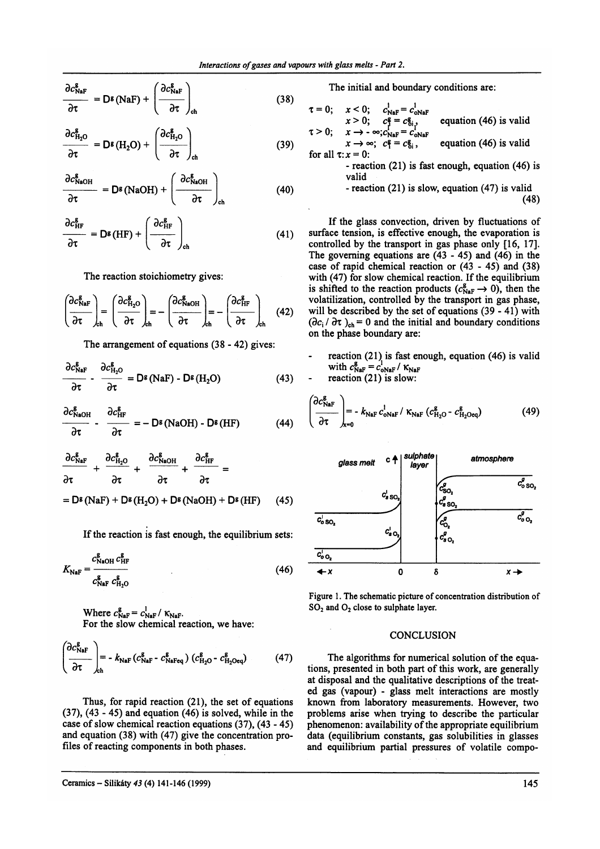$$
\frac{\partial c_{\text{NaF}}^{\text{g}}}{\partial \tau} = D^{\text{g}}(\text{NaF}) + \left(\frac{\partial c_{\text{NaF}}^{\text{g}}}{\partial \tau}\right)_{\text{ch}}
$$
(38)

$$
\frac{\partial c_{\text{H}_2\text{O}}^{\text{g}}}{\partial \tau} = \mathsf{D}^{\text{g}}(\text{H}_2\text{O}) + \left(\frac{\partial c_{\text{H}_2\text{O}}^{\text{g}}}{\partial \tau}\right)_{\text{ch}}
$$
(39)

$$
\frac{\partial c_{\text{NaOH}}^g}{\partial \tau} = D^g(\text{NaOH}) + \left(\frac{\partial c_{\text{NaOH}}^g}{\partial \tau}\right)_{\text{ch}} \tag{40}
$$

$$
\frac{\partial c_{\text{HF}}^{\text{g}}}{\partial \tau} = \mathsf{D}^{\text{g}}(\text{HF}) + \left(\frac{\partial c_{\text{HF}}^{\text{g}}}{\partial \tau}\right)_{\text{ch}} \tag{41}
$$

The reaction stoichiometry gives:

$$
\left(\frac{\partial c_{\text{NaF}}^{\text{g}}}{\partial \tau}\right)_{\text{ch}} = \left(\frac{\partial c_{\text{H}_2\text{O}}^{\text{g}}}{\partial \tau}\right)_{\text{ch}} = -\left(\frac{\partial c_{\text{NaOH}}^{\text{g}}}{\partial \tau}\right)_{\text{ch}} = -\left(\frac{\partial c_{\text{HF}}^{\text{g}}}{\partial \tau}\right)_{\text{ch}} \quad (42)
$$

The arrangement of equations (38 - 42) gives:

$$
\frac{\partial c_{\text{NaF}}^{\text{g}}}{\partial \tau} - \frac{\partial c_{\text{H}_2\text{O}}^{\text{g}}}{\partial \tau} = D^{\text{g}}(\text{NaF}) - D^{\text{g}}(\text{H}_2\text{O}) \tag{43}
$$

$$
\frac{\partial c_{\text{NaOH}}^{\text{g}}}{\partial \tau} - \frac{\partial c_{\text{HF}}^{\text{g}}}{\partial \tau} = -\mathbf{D}^{\text{g}}(\text{NaOH}) - \mathbf{D}^{\text{g}}(\text{HF}) \tag{44}
$$

$$
\frac{\partial c_{\text{NaF}}^{\text{g}}}{\partial \tau} + \frac{\partial c_{\text{H}_{2}\text{O}}^{\text{g}}}{\partial \tau} + \frac{\partial c_{\text{NaOH}}^{\text{g}}}{\partial \tau} + \frac{\partial c_{\text{HF}}^{\text{g}}}{\partial \tau} =
$$
\n
$$
= D^{\text{g}} (\text{NaF}) + D^{\text{g}} (\text{H}_{2}\text{O}) + D^{\text{g}} (\text{NaOH}) + D^{\text{g}} (\text{HF}) \qquad (45)
$$

If the reaction is fast enough, the equilibrium sets:

$$
K_{\text{NaF}} = \frac{c_{\text{NaOH}}^{\text{g}} c_{\text{H}F}^{\text{g}}}{c_{\text{NaF}}^{\text{g}} c_{\text{H}.\text{O}}^{\text{g}}} \tag{46}
$$

Where  $c_{\text{NaF}}^{\text{g}} = c_{\text{NaF}}^{\text{I}} / K_{\text{NaF}}$ .

For the slow chemical reaction, we have:

$$
\left(\frac{\partial c_{\text{NaF}}^{\text{g}}}{\partial \tau}\right)_{\text{ch}} = -k_{\text{NaF}} \left(c_{\text{NaF}}^{\text{g}} - c_{\text{NaFeq}}^{\text{g}}\right) \left(c_{\text{H}_2\text{O}}^{\text{g}} - c_{\text{H}_2\text{Oeq}}^{\text{g}}\right) \tag{47}
$$

Thus, for rapid reaction (21), the set of equations  $(37)$ ,  $(43 - 45)$  and equation  $(46)$  is solved, while in the case of slow chemical reaction equations (37), (43 - 45) and equation (38) with (47) give the concentration profiles of reacting components in both phases.

The initial and boundary conditions are:

$$
\tau = 0; \quad x < 0; \quad c_{\text{NaF}}^1 = c_{\text{oNaF}}^1
$$
\n
$$
x > 0; \quad c_{\text{NaF}}^2 = c_{\text{Si}}^2, \quad \text{equation (46) is valid}
$$
\n
$$
\tau > 0; \quad x \to -\infty; c_{\text{NaF}}^1 = c_{\text{CoNaF}}^1
$$

 $x \rightarrow -\infty$ ;  $c_1^2 = c_2^2$ ; equation (46) is valid for all  $\tau$ :  $x = 0$ :

> - reaction  $(21)$  is fast enough, equation  $(46)$  is valid  $\overline{1}$  $\ddotsc$

- reaction (21) is slow, equation (47) is valid 
$$
(48)
$$

If the glass convection, driven by fluctuations of surface tension, is effective enough, the evaporation is controlled by the transport in gas phase only [16, 17]. The governing equations are  $(43 - 45)$  and  $(46)$  in the case of rapid chemical reaction or (43 - 45) and (38) with (47) for slow chemical reaction. If the equilibrium is shifted to the reaction products  $(c_{\text{NaF}}^g \rightarrow 0)$ , then the volatilization, controlled by the transport in gas phase, will be described by the set of equations (39 - 41) with  $(\partial c_i/\partial \tau)_{ch} = 0$  and the initial and boundary conditions on the phase boundary are:

reaction  $(21)$  is fast enough, equation  $(46)$  is valid with  $c_{\text{NaF}}^{\text{g}} = c_{\text{oNaF}}^{\text{I}} / K_{\text{NaF}}$ 

reaction  $(21)$  is slow:

$$
\left(\frac{\partial c_{\text{NaF}}^{\text{g}}}{\partial \tau}\right)_{\text{x=0}} = -k_{\text{NaF}} c_{\text{NaF}}^{\text{!}} / \kappa_{\text{NaF}} (c_{\text{H}_2\text{O}}^{\text{g}} \cdot c_{\text{H}_2\text{Oeq}}^{\text{g}})
$$
(49)



Figure 1. The schematic picture of concentration distribution of  $SO<sub>2</sub>$  and  $O<sub>2</sub>$  close to sulphate layer.

## **CONCLUSION**

The algorithms for numerical solution of the equations, presented in both part of this work, are generally at disposal and the qualitative descriptions of the treated gas (vapour) - glass melt interactions are mostly known from laboratory measurements. However, two problems arise when trying to describe the particular phenomenon: availability of the appropriate equilibrium data (equilibrium constants, gas solubilities in glasses and equilibrium partial pressures of volatile compo-

Ceramics - Silikáty 43 (4) 141-146 (1999)